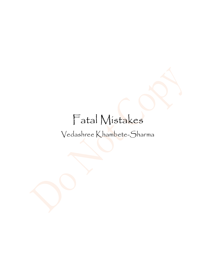## Fatal Mistakes

Vedashree Khambete-Sharma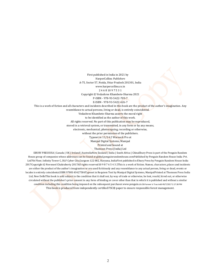First published in India in 2021 by HarperCollins *Publishers*  A-75, Sector 57, Noida, Uttar Pradesh 201301, India www.harpercollins.co.in 2 4 6 8 10 9 7 5 3 1

Copyright © Vedashree Khambete-Sharma 2021 P-ISBN - 978-93-5422-709-7

E-ISBN - 978-93-5422-626-7

This is a work of fiction and all characters and incidents described in this book are the product of the author's imagination. Any

resemblance to actual persons, living or dead, is entirely coincidental.

Vedashree Khambete-Sharma asserts the moral right

to be identified as the author of this work.

All rights reserved. No part of this publication may be reproduced,

stored in a retrieval system, or transmitted, in any form or by any means,

electronic, mechanical, photocopying, recording or otherwise,

without the prior permission of the publishers.

Typeset in 11/14.2 Warnock Pro at

Manipal Digital Systems, Manipal

Printed and bound at

Thomson Press (India) Ltd

EBURY PRESSUSA | Canada | UK | Ireland | AustraliaNew Zealand | India | South Africa | ChinaEbury Press is part of the Penguin Random House group of companies whose addresses can be found at global.penguinrandomhouse.comPublished by Penguin Random House India Pvt. Ltd7th Floor, Infinity Tower C, DLF Cyber City,Gurgaon 122 002, Haryana, IndiaFirst published in Ebury Press by Penguin Random House India 2017Copyright © Novoneel Chakraborty 2017All rights reserved10 9 8 7 6 5 4 3 2This is a work of fiction. Names, characters, places and incidents are either the product of the author's imagination or are used fictitiously and any resemblance to any actual person, living or dead, events or locales is entirely coincidental.ISBN 9780143427506Typeset in Requiem Text by Manipal Digital Systems, ManipalPrinted at Thomson Press India Ltd, New DelhiThis book is sold subject to the condition that it shall not, by way of trade or otherwise, be lent, resold, hired out, or otherwise circulated without the publisher's prior consent in any form of binding or cover other than that in which it is published and without a similar condition including this condition being imposed on the subsequent purchaser.www.penguin.co.inForever Is True.indd 49/7/2017 2:17:38 PM This book is produced from independently certified FSC® paper to ensure responsible forest management.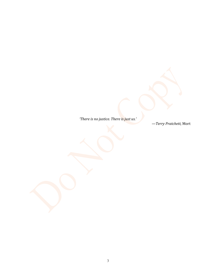*'There is no justice. There is just us.'*

*—Terry Pratchett,* Mort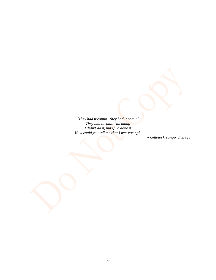*'They had it comin', they had it comin' They had it comin' all along I didn't do it, but if I'd done it How could you tell me that I was wrong?'*

*– Cellblock Tango,* Chicago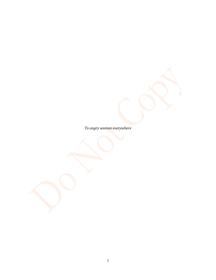*To angry women everywhere*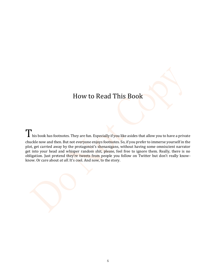## How to Read This Book

This book has footnotes. They are fun. Especially if you like asides that allow you to have a private

chuckle now and then. But not everyone enjoys footnotes. So, if you prefer to immerse yourself in the plot, get carried away by the protagonist's shenanigans, without having some omniscient narrator get into your head and whisper random shit, please, feel free to ignore them. Really, there is no obligation. Just pretend they're tweets from people you follow on Twitter but don't really knowknow. Or care about *at all*. It's cool. And now, to the story.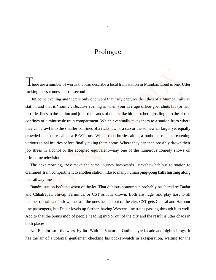## Prologue

1

There are a number of words that can describe a local train station in Mumbai. Loud is one. Utter fucking mess comes a close second.

But come evening and there's only one word that truly captures the ethos of a Mumbai railway station and that is 'frantic'. Because evening is when your average office-goer shuts his (or her) last file, flees to the station and joins thousands of others like him—or her—jostling into the closed confines of a minuscule train compartment. Which eventually takes them to a station from where they can crawl into the smaller confines of a rickshaw or a cab or the somewhat larger yet equally crowded enclosure called a BEST bus. Which then hurtles along a potholed road, threatening various spinal injuries before finally taking them home. Where they can then possibly drown their job stress in alcohol or the accepted equivalent—any one of the numerous comedy shows on primetime television.

The next morning, they make the same journey backwards—rickshaw/cab/bus to station to crammed train compartment to another station, like so many human ping-pong balls hurtling along the railway line.

Bandra station isn't the worst of the lot. That dubious honour can probably be shared by Dadar and Chhatrapati Shivaji Terminus, or CST as it is known. Both are huge, and play host to all manner of trains: the slow, the fast, the ones headed out of the city. CST gets Central and Harbour line passengers, but Dadar levels up further, having Western line trains passing through it as well. Add to that the bonus mob of people heading into or out of the city and the result is utter chaos in both places.

No, Bandra isn't the worst by far. With its Victorian Gothic-style facade and high ceilings, it has the air of a colonial gentleman checking his pocket-watch in exasperation, waiting for the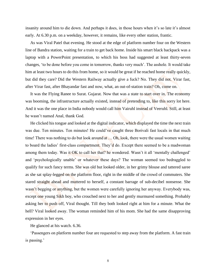insanity around him to die down. And perhaps it does, in those hours when it's so late it's almost early. At 6.30 p.m. on a weekday, however, it remains, like every other station, frantic.

As was Viral Patel that evening. He stood at the edge of platform number four on the Western line of Bandra station, waiting for a train to get back home. Inside his smart black backpack was a laptop with a PowerPoint presentation, to which his boss had suggested at least thirty-seven changes, 'to be done before you come in tomorrow, thanks very much'. The asshole. It would take him at least two hours to do this from home, so it would be great if he reached home really quickly, but did they care? Did the Western Railway actually give a fuck? No. They did not. Virar fast, after Virar fast, after Bhayandar fast and now, what, an out-of-station train? Oh, come on.

It was the Flying Ranee to Surat. Gujarat. Now that was a state to start over in. The economy was booming, the infrastructure actually existed, instead of pretending to, like this sorry lot here. And it was the one place in India nobody would call him Vairuhl instead of Veeruhl. Still, at least he wasn't named Anal, thank God.

He clicked his tongue and looked at the digital indicator, which displayed the time the next train was due. Ten minutes. Ten minutes! He could've caught three Borivali fast locals in that much time! There was nothing to do but look around at ... Oh, look, there were the usual women waiting to board the ladies' first-class compartment. They'd do. Except there seemed to be a madwoman among them today. Was it OK to call her that? he wondered. Wasn't it all 'mentally challenged' and 'psychologically unable' or whatever these days? The woman seemed too bedraggled to qualify for such fancy terms. She was old but looked older, in her grimy blouse and tattered saree as she sat splay-legged on the platform floor, right in the middle of the crowd of commuters. She stared straight ahead and muttered to herself, a constant barrage of sub-decibel nonsense. She wasn't begging or anything, but the women were carefully ignoring her anyway. Everybody was, except one young Sikh boy, who crouched next to her and gently murmured something. Probably asking her to push off, Viral thought. Till they both looked right at him for a minute. What the hell? Viral looked away. The woman reminded him of his mom. She had the same disapproving expression in her eyes.

He glanced at his watch. 6.36.

'Passengers on platform number four are requested to step away from the platform. A fast train is passing.'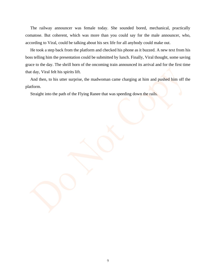The railway announcer was female today. She sounded bored, mechanical, practically comatose. But coherent, which was more than you could say for the male announcer, who, according to Viral, could be talking about his sex life for all anybody could make out.

He took a step back from the platform and checked his phone as it buzzed. A new text from his boss telling him the presentation could be submitted by lunch. Finally, Viral thought, some saving grace to the day. The shrill horn of the oncoming train announced its arrival and for the first time that day, Viral felt his spirits lift.

And then, to his utter surprise, the madwoman came charging at him and pushed him off the platform.

Straight into the path of the Flying Ranee that was speeding down the rails.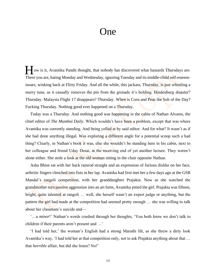## One

H<sub>E</sub> ow is it, Avantika Pandit thought, that nobody has discovered what bastards Thursdays are. There you are, hating Monday and Wednesday, ignoring Tuesday and its middle-child self-esteemissues, winking back at Flirty Friday. And all the while, this jackass, Thursday, is just whistling a merry tune, as it casually removes the pin from the grenade it's holding. Hindenburg disaster? Thursday. Malaysia Flight 17 disappears? Thursday. When is Corn and Peas the Sub of the Day? Fucking Thursday. Nothing good ever happened on a Thursday.

Today was a Thursday. And nothing good was happening in the cabin of Nathan Alvares, the chief editor of *The Mumbai Daily*. Which wouldn't have been a problem, except that was where Avantika was currently standing. And being yelled at by said editor. And for what? It wasn't as if she had done anything illegal. Was exploring a different angle for a potential scoop such a bad thing? Clearly, in Nathan's book it was, else she wouldn't be standing here in his cabin, next to her colleague and friend Uday Desai, at the receiving end of yet another lecture. They weren't alone either. She stole a look at the old woman sitting in the chair opposite Nathan.

Asha Bhise sat with her back ramrod straight and an expression of furious dislike on her face, arthritic fingers clenched into fists in her lap. Avantika had first met her a few days ago at the GSB Mandal's rangoli competition, with her granddaughter Prajakta. Now as she watched the grandmother turn passive aggression into an art form, Avantika pitied the girl. Prajakta was fifteen, bright, quite talented at rangoli ... well, she herself wasn't an expert judge or anything, but the pattern the girl had made at the competition had seemed pretty enough ... she was willing to talk about her classmate's suicide and—

'…a *minor*!' Nathan's words crashed through her thoughts, 'You both *know* we don't talk to children if their parents aren't present and …'

'I had told her,' the woman's English had a strong Marathi lilt, as she threw a dirty look Avantika's way, 'I had told her at that competition only, not to ask Prajakta anything about that … that *horrible* affair, but did she listen? No!'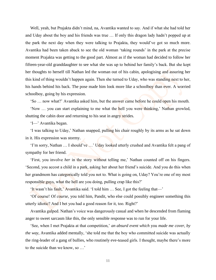Well, yeah, but Prajakta didn't mind, na, Avantika wanted to say. And if what she had told her and Uday about the boy and his friends was true … If only this dragon lady hadn't popped up at the park the next day when they were talking to Prajakta, they would've got so much more. Avantika had been taken aback to see the old woman 'taking rounds' in the park at the precise moment Prajakta was getting to the good part. Almost as if the woman had decided to follow her fifteen-year-old granddaughter to see what she was up to behind her family's back. But she kept her thoughts to herself till Nathan led the woman out of his cabin, apologising and assuring her this kind of thing wouldn't happen again. Then she turned to Uday, who was standing next to her, his hands behind his back. The pose made him look more like a schoolboy than ever. A worried schoolboy, going by his expression.

'So … now what?' Avantika asked him, but the answer came before he could open his mouth.

'Now … you can start explaining to me what the hell you were thinking,' Nathan growled, shutting the cabin door and returning to his seat in angry strides.

'I—' Avantika began.

'I was talking to Uday,' Nathan snapped, pulling his chair roughly by its arms as he sat down in it. His expression was stormy.

'I'm sorry, Nathan … I should've …' Uday looked utterly crushed and Avantika felt a pang of sympathy for her friend.

'First, you involve *her* in the story without telling me,' Nathan counted off on his fingers. 'Second, you accost a child in a park, asking her about her friend's suicide. And you do this when her grandmom has categorically told you not to. What is going on, Uday? You're one of my most responsible guys, what the hell are you doing, pulling crap like this?'

'It wasn't his fault,' Avantika said. 'I told him … See, I got the feeling that—'

'Of course! Of *course,* you told him, Pandit, who else could possibly engineer something this utterly idiotic? And I bet you had a good reason for it, too. Right?'

Avantika gulped. Nathan's voice was dangerously casual and when he descended from flaming anger to sweet sarcasm like this, the only sensible response was to run for your life.

'See, when I met Prajakta at that competition,' *an absurd event which* you *made me cover, by the way,* Avantika added mentally, 'she told me that the boy who committed suicide was actually the ring-leader of a gang of bullies, who routinely eve-teased girls. I thought, maybe there's more to the suicide than we know, so …'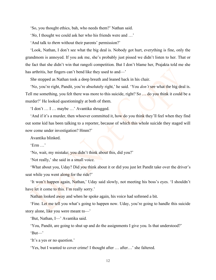'So, you thought ethics, bah, who needs them?' Nathan said.

'*No*, I thought we could ask her who his friends were and …'

'And talk to *them* without their parents' permission?'

'Look, Nathan, I don't see what the big deal is. Nobody got hurt, everything is fine, only the grandmom is annoyed. If you ask me, she's probably just pissed we didn't listen to her. That or the fact that she didn't win that rangoli competition. But I don't blame her, Prajakta told me she has arthritis, her fingers can't bend like they used to and—'

She stopped as Nathan took a deep breath and leaned back in his chair.

'No, you're right, Pandit, you're absolutely right,' he said. 'You *don't* see what the big deal is. Tell me something, you felt there was more to this suicide, right? So ... do you think it could be a murder?' He looked questioningly at both of them.

'I don't … I … maybe …' Avantika shrugged.

'And if it's a murder, then whoever committed it, how do you think they'll feel when they find out some kid has been talking to a reporter, because of which this whole suicide they staged will now come under investigation? Hmm?'

Avantika blinked.

'Erm …'

'No, wait, my mistake; you didn't think about this, did you?'

'Not really,' she said in a small voice.

'What about you, Uday? Did *you* think about it or did you just let Pandit take over the driver's seat while you went along for the ride?'

'It won't happen again, Nathan,' Uday said slowly, not meeting his boss's eyes. 'I shouldn't have let it come to this. I'm really sorry.'

Nathan looked away and when he spoke again, his voice had softened a bit.

'Fine. Let me tell you what's going to happen now. Uday, you're going to handle this suicide story alone, like you were meant to—'

'But, Nathan, I—' Avantika said.

'You, Pandit, are going to shut up and do the assignments I give you. Is that understood?'

'But—'

'It's a yes or no question.'

'Yes, but I wanted to cover crime! I thought after … after…' she faltered.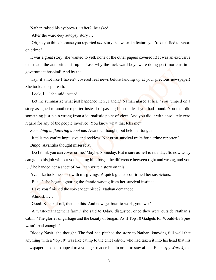Nathan raised his eyebrows. 'After?' he asked.

'After the ward-boy autopsy story …'

'Oh, so you think because you reported *one* story that wasn't a feature you're qualified to report on crime?'

It was a great story, she wanted to yell, none of the other papers covered it! It was an exclusive that made the authorities sit up and ask why the fuck ward boys were doing post mortems in a government hospital! And by the

way, it's not like I haven't covered real news before landing up at your precious newspaper! She took a deep breath.

'Look, I—' she said instead.

'Let me summarize what just happened here, Pandit.' Nathan glared at her. 'You jumped on a story assigned to another reporter instead of passing him the lead you had found. You then did something just plain wrong from a journalistic point of view. And you did it with absolutely zero regard for any of the people involved. You know what that tells me?'

*Something unflattering about me*, Avantika thought, but held her tongue.

'It tells me you're impulsive and reckless. Not great survival traits for a crime reporter.'

*Bingo,* Avantika thought miserably.

'Do I think you can cover crime? Maybe. Someday. But it sure as hell isn't today. So now Uday can go do his job without you making him forget the difference between right and wrong, and you …,' he handed her a sheet of A4, 'can write a story on this.'

Avantika took the sheet with misgivings. A quick glance confirmed her suspicions.

'But—' she began, ignoring the frantic waving from her survival instinct.

'Have you finished the spy-gadget piece?' Nathan demanded.

'Almost, I …'

'Good. Knock it off, then do this. And now get back to work, you two.'

'A waste-management farm,' she said to Uday, disgusted, once they were outside Nathan's cabin. 'The glories of garbage and the beauty of biogas. As if Top 10 Gadgets for Would-Be Spies wasn't bad enough.'

Bloody Nasir, she thought. The fool had pitched the story to Nathan, knowing full well that anything with a 'top 10' was like catnip to the chief editor, who had taken it into his head that his newspaper needed to appeal to a younger readership, in order to stay afloat. Enter *Spy Wars 4*, the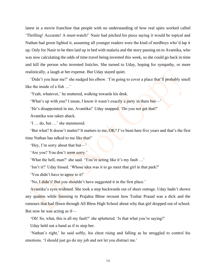latest in a movie franchise that people with no understanding of how real spies worked called 'Thrilling! Accurate! A must-watch!' Nasir had pitched his piece saying it would be topical and Nathan had green lighted it, assuming all younger readers were the kind of nerdboys who'd lap it up. Only for Nasir to be then laid up in bed with malaria and the story passing on to Avantika, who was now calculating the odds of time travel being invented this week, so she could go back in time and kill the person who invented listicles. She turned to Uday, hoping for sympathy, or more realistically, a laugh at her expense. But Uday stayed quiet.

'Didn't you hear me?' she nudged his elbow. 'I'm going to cover a place that'll probably smell like the inside of a fish …'

'Yeah, whatever,' he muttered, walking towards his desk.

'What's up with *you*? I mean, I know it wasn't exactly a party in there but—'

'He's disappointed in me, Avantika!' Uday snapped. 'Do you not get that?'

Avantika was taken aback.

'I … do, but …' she stammered.

'But what? It doesn't matter? It matters to me, OK? I've been here five years and that's the first time Nathan has talked to me like that!'

'Hey, I'm sorry about that but—'

'Are you? You don't *seem* sorry.'

'What the hell, man?' she said. 'You're acting like it's my fault …'

'Isn't it?' Uday hissed. 'Whose idea was it to go meet that girl in that park?'

'You didn't have to agree to it!'

'No, I didn't! But you shouldn't have suggested it in the first place.'

Avantika's eyes widened. She took a step backwards out of sheer outrage. Uday hadn't shown any qualms while listening to Prajakta Bhise recount how Tushar Prasad was a dick and the rumours that had flown through All Bless High School about why that girl dropped out of school. But now he was acting as if—

'Oh! So, what, this is all my fault?' she spluttered. 'Is that what you're saying?'

Uday held out a hand as if to stop her.

'Nathan's right,' he said softly, his chest rising and falling as he struggled to control his emotions. 'I should just go do my job and not let you distract me.'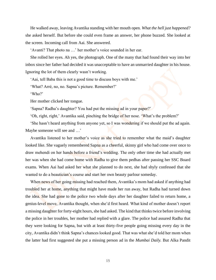He walked away, leaving Avantika standing with her mouth open. *What the hell just happened?*  she asked herself. But before she could even frame an answer, her phone buzzed. She looked at the screen. Incoming call from Aai. She answered.

'Avanti? That photo na …' her mother's voice sounded in her ear.

She rolled her eyes. Ah yes, the photograph. One of the many that had found their way into her inbox since her father had decided it was unacceptable to have an unmarried daughter in his house. Ignoring the lot of them clearly wasn't working.

'Aai, tell Baba this is not a good time to discuss boys with me.'

'What? Arré, no, no. Sapna's picture. Remember?'

'Who?'

Her mother clicked her tongue.

'Sapna? Radha's daughter? You had put the missing ad in your paper?'

'Oh, right, right,' Avantika said, pinching the bridge of her nose. 'What's the problem?'

'She hasn't heard anything from anyone yet, so I was wondering if we should put the ad again. Maybe someone will see and …'

Avantika listened to her mother's voice as she tried to remember what the maid's daughter looked like. She vaguely remembered Sapna as a cheerful, skinny girl who had come over once to draw mehendi on her hands before a friend's wedding. The only other time she had actually met her was when she had come home with Radha to give them pedhas after passing her SSC Board exams. When Aai had asked her what she planned to do next, she had shyly confessed that she wanted to do a beautician's course and start her own beauty parlour someday.

When news of her going missing had reached them, Avantika's mom had asked if anything had troubled her at home, anything that might have made her run away, but Radha had turned down the idea. She had gone to the police two whole days after her daughter failed to return home, a genius-level move, Avantika thought, when she'd first heard. What kind of mother doesn't report a missing daughter for forty-eight hours, she had asked. The kind that thinks twice before involving the police in her troubles, her mother had replied with a glare. The police had assured Radha that they were looking for Sapna, but with at least thirty-five people going missing every day in the city, Avantika didn't think Sapna's chances looked good. That was what she'd told her mom when the latter had first suggested she put a missing person ad in the *Mumbai Daily.* But Alka Pandit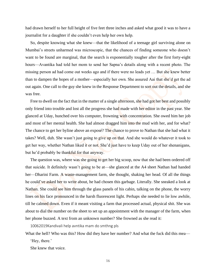had drawn herself to her full height of five feet three inches and asked what good it was to have a journalist for a daughter if she couldn't even help her own help.

So, despite knowing what she knew—that the likelihood of a teenage girl surviving alone on Mumbai's streets unharmed was microscopic, that the chances of finding someone who doesn't want to be found are marginal, that the search is exponentially tougher after the first forty-eight hours—Avantika had told her mom to send her Sapna's details along with a recent photo. The missing person ad had come out weeks ago and if there were no leads yet … But she knew better than to dampen the hopes of a mother—especially her own. She assured Aai that she'd get the ad out again. One call to the guy she knew in the Response Department to sort out the details, and she was free.

Free to dwell on the fact that in the matter of a single afternoon, she had got her best and possibly only friend into trouble and lost all the progress she had made with her editor in the past year. She glanced at Uday, hunched over his computer, frowning with concentration. She owed him her job and most of her mental health. She had almost dragged him into the mud with her, and for what? The chance to get her byline above an exposé? The chance to prove to Nathan that she had what it takes? Well, duh. She wasn't just going to give up on that. And she would do whatever it took to get her way, whether Nathan liked it or not. She'd just have to keep Uday out of her shenanigans, but he'd probably be thankful for that anyway.

The question was, where was she going to get her big scoop, now that she had been ordered off that suicide. It definitely wasn't going to be at—she glanced at the A4 sheet Nathan had handed her—Dharini Farm. A waste-management farm, she thought, shaking her head. Of all the things he could've asked her to write about, he had chosen this garbage. Literally. She sneaked a look at Nathan. She could see him through the glass panels of his cabin, talking on the phone, the worry lines on his face pronounced in the harsh fluorescent light. Perhaps she needed to lie low awhile, till he calmed down. Even if it meant visiting a farm that processed actual, physical shit. She was about to dial the number on the sheet to set up an appointment with the manager of the farm, when her phone buzzed. A text from an unknown number? She frowned as she read it:

10062019Kandivali help avntika mam do smthng pls

What the hell? Who was this? How did they have her number? And what the fuck did this mea— 'Hey, there.'

She knew that voice.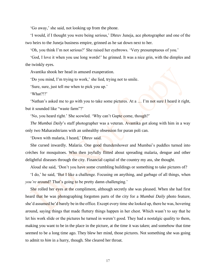'Go away,' she said, not looking up from the phone.

'I would, if I thought you were being serious,' Dhruv Juneja, ace photographer and one of the two heirs to the Juneja business empire, grinned as he sat down next to her.

'Oh, you think I'm not serious?' She raised her eyebrows. 'Very presumptuous of you.'

'God, I love it when you use long words!' he grinned. It was a nice grin, with the dimples and the twinkly eyes.

Avantika shook her head in amused exasperation.

'Do you mind, I'm trying to work,' she lied, trying not to smile.

'Sure, sure, just tell me when to pick you up.'

'What?!?'

'Nathan's asked me to go with you to take some pictures. At a … I'm not sure I heard it right, but it sounded like "waste farm"?'

'No, you heard right.' She scowled. 'Why can't Gupte come, though?'

*The Mumbai Daily*'s staff photographer was a veteran. Avantika got along with him in a way only two Maharashtrians with an unhealthy obsession for puran poli can.

'Down with malaria, I heard,' Dhruv said.

She cursed inwardly. Malaria. One good thundershower and Mumbai's puddles turned into crèches for mosquitoes. Who then joyfully flitted about spreading malaria, dengue and other delightful diseases through the city. Financial capital of the country my ass, she thought.

Aloud she said, 'Don't you have some crumbling buildings or something to take pictures of?

'I do,' he said, 'But I like a challenge. Focusing on anything, and garbage of all things, when *you're* around? That's going to be pretty damn challenging.'

She rolled her eyes at the compliment, although secretly she was pleased. When she had first heard that he was photographing forgotten parts of the city for a *Mumbai Daily* photo feature, she'd assumed he'd barely be in the office. Except every time she looked up, there he was, hovering around, saying things that made fluttery things happen in her chest. Which wasn't to say that he let his work slide or the pictures he turned in weren't good. They had a nostalgic quality to them, making you want to be in the place in the picture, at the time it was taken; and somehow that time seemed to be a long time ago. They blew her mind, those pictures. Not something she was going to admit to *him* in a hurry, though. She cleared her throat.